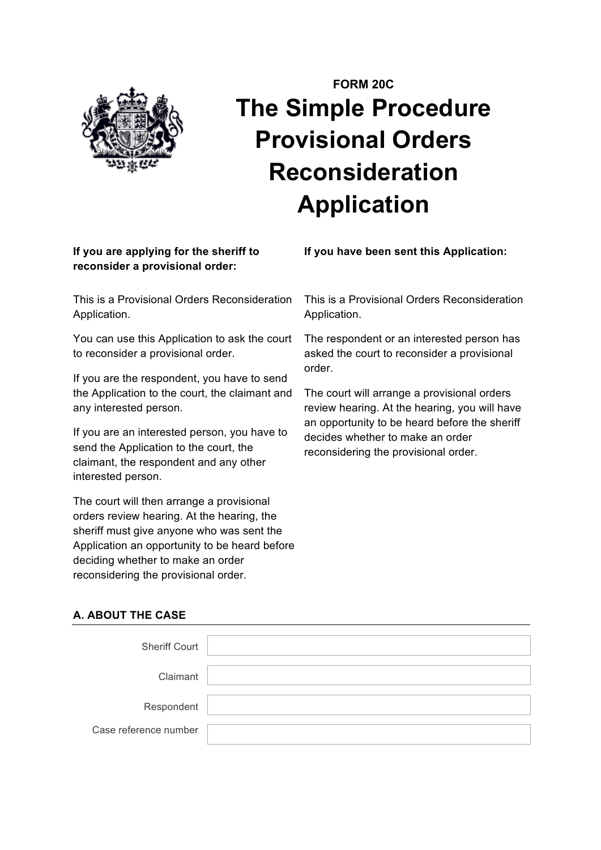

# **FORM 20C The Simple Procedure Provisional Orders Reconsideration Application**

## **If you are applying for the sheriff to reconsider a provisional order:**

This is a Provisional Orders Reconsideration Application.

You can use this Application to ask the court to reconsider a provisional order.

If you are the respondent, you have to send the Application to the court, the claimant and any interested person.

If you are an interested person, you have to send the Application to the court, the claimant, the respondent and any other interested person.

The court will then arrange a provisional orders review hearing. At the hearing, the sheriff must give anyone who was sent the Application an opportunity to be heard before deciding whether to make an order reconsidering the provisional order.

**If you have been sent this Application:**

This is a Provisional Orders Reconsideration Application.

The respondent or an interested person has asked the court to reconsider a provisional order.

The court will arrange a provisional orders review hearing. At the hearing, you will have an opportunity to be heard before the sheriff decides whether to make an order reconsidering the provisional order.

## **A. ABOUT THE CASE**

| <b>Sheriff Court</b>  |  |
|-----------------------|--|
|                       |  |
| Claimant              |  |
|                       |  |
| Respondent            |  |
|                       |  |
| Case reference number |  |
|                       |  |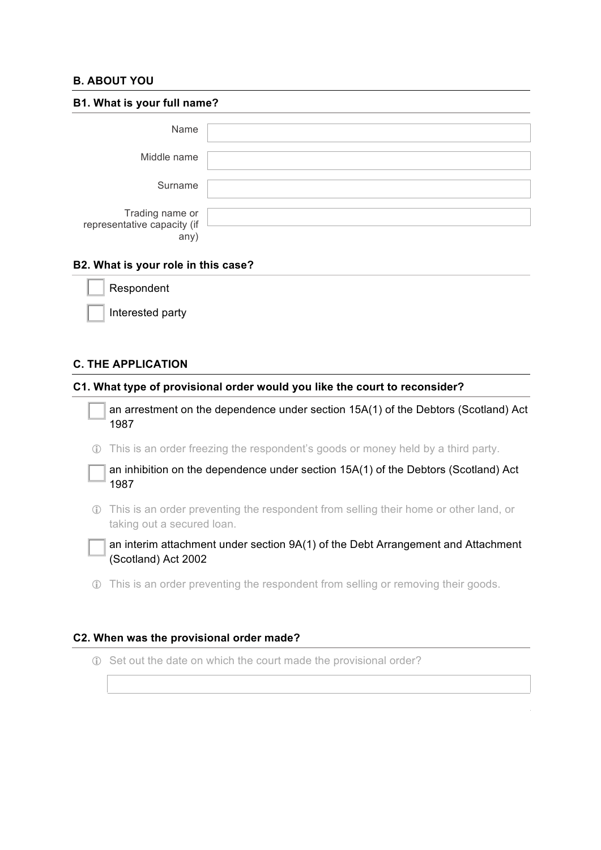### **B. ABOUT YOU**

| B1. What is your full name?                            |  |  |
|--------------------------------------------------------|--|--|
| Name                                                   |  |  |
| Middle name                                            |  |  |
| Surname                                                |  |  |
| Trading name or<br>representative capacity (if<br>any) |  |  |

#### **B2. What is your role in this case?**

| Respondent |  |
|------------|--|
|            |  |

Interested party

#### **C. THE APPLICATION**

#### **C1. What type of provisional order would you like the court to reconsider?**

an arrestment on the dependence under section 15A(1) of the Debtors (Scotland) Act 1987

! This is an order freezing the respondent's goods or money held by a third party.

an inhibition on the dependence under section 15A(1) of the Debtors (Scotland) Act 1987

! This is an order preventing the respondent from selling their home or other land, or taking out a secured loan.

an interim attachment under section 9A(1) of the Debt Arrangement and Attachment (Scotland) Act 2002

! This is an order preventing the respondent from selling or removing their goods.

#### **C2. When was the provisional order made?**

! Set out the date on which the court made the provisional order?